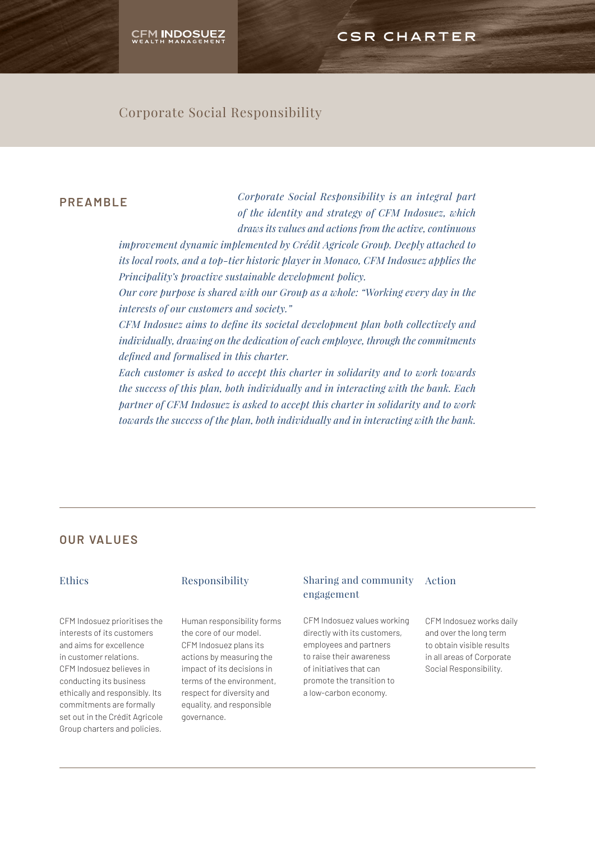# CSR CHARTER

# Corporate Social Responsibility

## **PREAMBLE**

*Corporate Social Responsibility is an integral part of the identity and strategy of CFM Indosuez, which draws its values and actions from the active, continuous* 

*improvement dynamic implemented by Crédit Agricole Group. Deeply attached to its local roots, and a top-tier historic player in Monaco, CFM Indosuez applies the Principality's proactive sustainable development policy.*

*Our core purpose is shared with our Group as a whole: "Working every day in the interests of our customers and society."* 

*CFM Indosuez aims to define its societal development plan both collectively and individually, drawing on the dedication of each employee, through the commitments defined and formalised in this charter.* 

*Each customer is asked to accept this charter in solidarity and to work towards the success of this plan, both individually and in interacting with the bank. Each partner of CFM Indosuez is asked to accept this charter in solidarity and to work towards the success of the plan, both individually and in interacting with the bank.*

## **OUR VALUES**

## Ethics

CFM Indosuez prioritises the interests of its customers and aims for excellence in customer relations. CFM Indosuez believes in conducting its business ethically and responsibly. Its commitments are formally set out in the Crédit Agricole Group charters and policies.

## Responsibility

Human responsibility forms the core of our model. CFM Indosuez plans its actions by measuring the impact of its decisions in terms of the environment, respect for diversity and equality, and responsible governance.

## Sharing and community Action engagement

CFM Indosuez values working directly with its customers, employees and partners to raise their awareness of initiatives that can promote the transition to a low-carbon economy.

CFM Indosuez works daily and over the long term to obtain visible results in all areas of Corporate Social Responsibility.